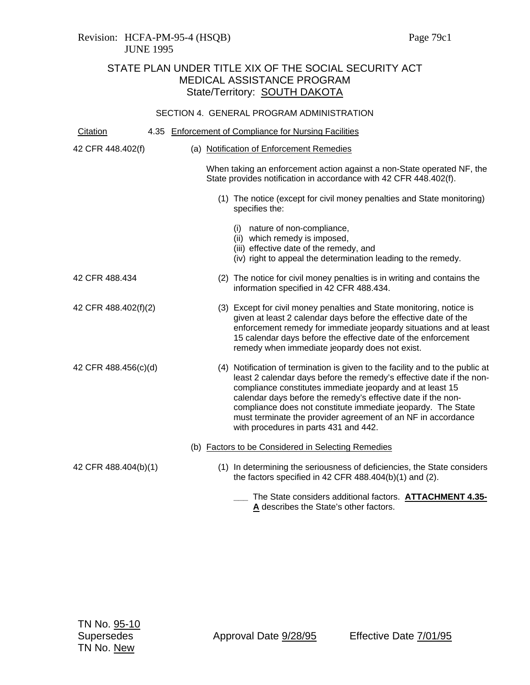### Revision: HCFA-PM-95-4 (HSQB) Page 79c1 JUNE 1995

# STATE PLAN UNDER TITLE XIX OF THE SOCIAL SECURITY ACT MEDICAL ASSISTANCE PROGRAM State/Territory: SOUTH DAKOTA

### SECTION 4. GENERAL PROGRAM ADMINISTRATION

| Citation             |  | 4.35 Enforcement of Compliance for Nursing Facilities                                                                                                                                                                                                                                                                                                                                                                                                       |
|----------------------|--|-------------------------------------------------------------------------------------------------------------------------------------------------------------------------------------------------------------------------------------------------------------------------------------------------------------------------------------------------------------------------------------------------------------------------------------------------------------|
| 42 CFR 448.402(f)    |  | (a) Notification of Enforcement Remedies                                                                                                                                                                                                                                                                                                                                                                                                                    |
|                      |  | When taking an enforcement action against a non-State operated NF, the<br>State provides notification in accordance with 42 CFR 448.402(f).                                                                                                                                                                                                                                                                                                                 |
|                      |  | (1) The notice (except for civil money penalties and State monitoring)<br>specifies the:                                                                                                                                                                                                                                                                                                                                                                    |
|                      |  | (i) nature of non-compliance,<br>(ii) which remedy is imposed,<br>(iii) effective date of the remedy, and<br>(iv) right to appeal the determination leading to the remedy.                                                                                                                                                                                                                                                                                  |
| 42 CFR 488.434       |  | (2) The notice for civil money penalties is in writing and contains the<br>information specified in 42 CFR 488.434.                                                                                                                                                                                                                                                                                                                                         |
| 42 CFR 488.402(f)(2) |  | (3) Except for civil money penalties and State monitoring, notice is<br>given at least 2 calendar days before the effective date of the<br>enforcement remedy for immediate jeopardy situations and at least<br>15 calendar days before the effective date of the enforcement<br>remedy when immediate jeopardy does not exist.                                                                                                                             |
| 42 CFR 488.456(c)(d) |  | (4) Notification of termination is given to the facility and to the public at<br>least 2 calendar days before the remedy's effective date if the non-<br>compliance constitutes immediate jeopardy and at least 15<br>calendar days before the remedy's effective date if the non-<br>compliance does not constitute immediate jeopardy. The State<br>must terminate the provider agreement of an NF in accordance<br>with procedures in parts 431 and 442. |
|                      |  | (b) Factors to be Considered in Selecting Remedies                                                                                                                                                                                                                                                                                                                                                                                                          |
| 42 CFR 488.404(b)(1) |  | (1) In determining the seriousness of deficiencies, the State considers<br>the factors specified in 42 CFR $488.404(b)(1)$ and (2).                                                                                                                                                                                                                                                                                                                         |
|                      |  | The State considers additional factors. ATTACHMENT 4.35-<br>A describes the State's other factors.                                                                                                                                                                                                                                                                                                                                                          |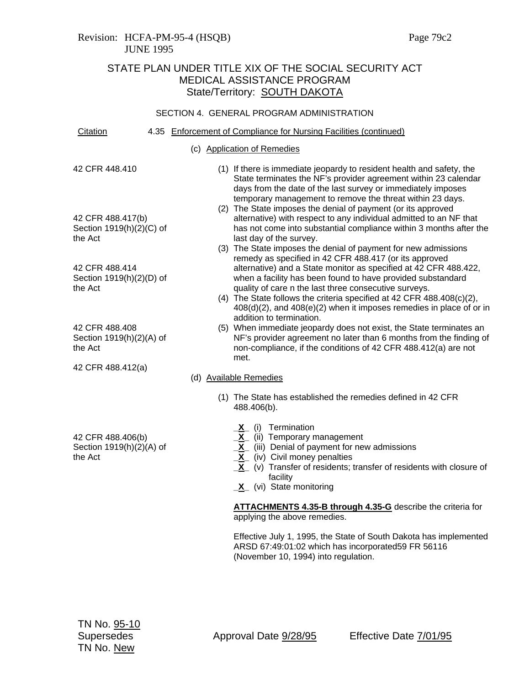### Revision: HCFA-PM-95-4 (HSQB) Page 79c2 JUNE 1995

## STATE PLAN UNDER TITLE XIX OF THE SOCIAL SECURITY ACT MEDICAL ASSISTANCE PROGRAM State/Territory: SOUTH DAKOTA

### SECTION 4. GENERAL PROGRAM ADMINISTRATION

| Citation                                                 |  | 4.35 Enforcement of Compliance for Nursing Facilities (continued)                                                                                                                                                                                                                                                                                                                                                                                                 |
|----------------------------------------------------------|--|-------------------------------------------------------------------------------------------------------------------------------------------------------------------------------------------------------------------------------------------------------------------------------------------------------------------------------------------------------------------------------------------------------------------------------------------------------------------|
|                                                          |  | (c) Application of Remedies                                                                                                                                                                                                                                                                                                                                                                                                                                       |
| 42 CFR 448.410                                           |  | (1) If there is immediate jeopardy to resident health and safety, the<br>State terminates the NF's provider agreement within 23 calendar<br>days from the date of the last survey or immediately imposes<br>temporary management to remove the threat within 23 days.                                                                                                                                                                                             |
| 42 CFR 488.417(b)<br>Section 1919(h)(2)(C) of<br>the Act |  | (2) The State imposes the denial of payment (or its approved<br>alternative) with respect to any individual admitted to an NF that<br>has not come into substantial compliance within 3 months after the<br>last day of the survey.                                                                                                                                                                                                                               |
|                                                          |  | (3) The State imposes the denial of payment for new admissions<br>remedy as specified in 42 CFR 488.417 (or its approved                                                                                                                                                                                                                                                                                                                                          |
| 42 CFR 488.414<br>Section 1919(h)(2)(D) of<br>the Act    |  | alternative) and a State monitor as specified at 42 CFR 488.422,<br>when a facility has been found to have provided substandard<br>quality of care n the last three consecutive surveys.<br>(4) The State follows the criteria specified at 42 CFR 488.408(c)(2),<br>$408(d)(2)$ , and $408(e)(2)$ when it imposes remedies in place of or in<br>addition to termination.                                                                                         |
| 42 CFR 488.408<br>Section 1919(h)(2)(A) of<br>the Act    |  | (5) When immediate jeopardy does not exist, the State terminates an<br>NF's provider agreement no later than 6 months from the finding of<br>non-compliance, if the conditions of 42 CFR 488.412(a) are not<br>met.                                                                                                                                                                                                                                               |
| 42 CFR 488.412(a)                                        |  | (d) Available Remedies                                                                                                                                                                                                                                                                                                                                                                                                                                            |
|                                                          |  | (1) The State has established the remedies defined in 42 CFR<br>488.406(b).                                                                                                                                                                                                                                                                                                                                                                                       |
| 42 CFR 488.406(b)<br>Section 1919(h)(2)(A) of<br>the Act |  | Termination<br>(i)<br>$\overline{\mathbf{X}}$<br>(ii) Temporary management<br>$\frac{\overline{x}}{\underline{x}}$<br>(iii) Denial of payment for new admissions<br>(iv) Civil money penalties<br>$\mathbf{r}$ and the state of the state of the state of the state of the state of the state of the state of the state of the state of the state of the state of the state of the state of the state of the state of the state of<br>ハート・エヌ エン・エス・エス しゅうきん しょうしん |

- **X** (v) Transfer of residents; transfer of residents with closure of facility
- **\_X\_** (vi) State monitoring

**ATTACHMENTS 4.35-B through 4.35-G** describe the criteria for applying the above remedies.

Effective July 1, 1995, the State of South Dakota has implemented ARSD 67:49:01:02 which has incorporated59 FR 56116 (November 10, 1994) into regulation.